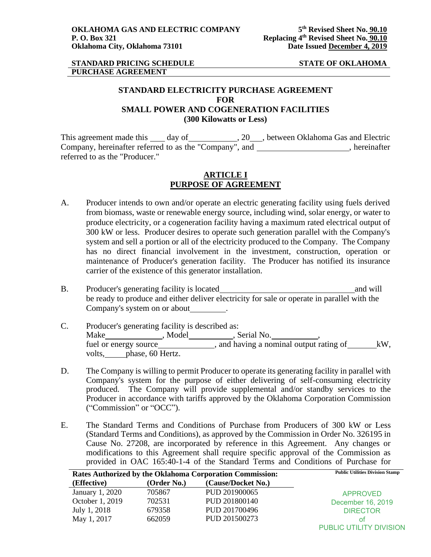#### **STANDARD PRICING SCHEDULE STATE OF OKLAHOMA PURCHASE AGREEMENT**

# **STANDARD ELECTRICITY PURCHASE AGREEMENT FOR SMALL POWER AND COGENERATION FACILITIES (300 Kilowatts or Less)**

This agreement made this \_\_\_\_\_ day of \_\_\_\_\_\_\_\_\_\_\_\_\_\_\_, 20\_\_\_\_, between Oklahoma Gas and Electric Company, hereinafter referred to as the "Company", and , hereinafter referred to as the "Producer."

# **ARTICLE I PURPOSE OF AGREEMENT**

- A. Producer intends to own and/or operate an electric generating facility using fuels derived from biomass, waste or renewable energy source, including wind, solar energy, or water to produce electricity, or a cogeneration facility having a maximum rated electrical output of 300 kW or less. Producer desires to operate such generation parallel with the Company's system and sell a portion or all of the electricity produced to the Company. The Company has no direct financial involvement in the investment, construction, operation or maintenance of Producer's generation facility. The Producer has notified its insurance carrier of the existence of this generator installation.
- B. Producer's generating facility is located and will and will be ready to produce and either deliver electricity for sale or operate in parallel with the Company's system on or about .
- C. Producer's generating facility is described as: Make Make Manuel Model (Make Make Model Model Model Model Model Model Model Model Model Model Model Model Model Model Model Model Model Model Model Model Model Model Model Model Model Model Model Model Model Model Model Mo fuel or energy source\_\_\_\_\_\_\_\_\_\_\_\_\_\_, and having a nominal output rating of \_\_\_\_\_\_\_kW, volts, phase, 60 Hertz.
- D. The Company is willing to permit Producer to operate its generating facility in parallel with Company's system for the purpose of either delivering of self-consuming electricity produced. The Company will provide supplemental and/or standby services to the Producer in accordance with tariffs approved by the Oklahoma Corporation Commission ("Commission" or "OCC").
- E. The Standard Terms and Conditions of Purchase from Producers of 300 kW or Less (Standard Terms and Conditions), as approved by the Commission in Order No. 326195 in Cause No. 27208, are incorporated by reference in this Agreement. Any changes or modifications to this Agreement shall require specific approval of the Commission as provided in OAC 165:40-1-4 of the Standard Terms and Conditions of Purchase for

| Rates Authorized by the Oklahoma Corporation Commission: |             | <b>Public Utilities Division Stamp</b> |                         |
|----------------------------------------------------------|-------------|----------------------------------------|-------------------------|
| (Effective)                                              | (Order No.) | (Cause/Docket No.)                     |                         |
| January 1, 2020                                          | 705867      | PUD 201900065                          | <b>APPROVED</b>         |
| October 1, 2019                                          | 702531      | PUD 201800140                          | December 16, 2019       |
| July 1, 2018                                             | 679358      | PUD 201700496                          | <b>DIRECTOR</b>         |
| May 1, 2017                                              | 662059      | PUD 201500273                          | οt                      |
|                                                          |             |                                        | PUBLIC UTILITY DIVISION |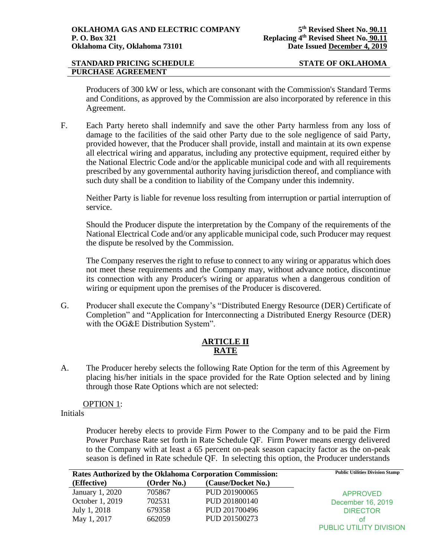#### **STANDARD PRICING SCHEDULE STATE OF OKLAHOMA PURCHASE AGREEMENT**

Producers of 300 kW or less, which are consonant with the Commission's Standard Terms and Conditions, as approved by the Commission are also incorporated by reference in this Agreement.

F. Each Party hereto shall indemnify and save the other Party harmless from any loss of damage to the facilities of the said other Party due to the sole negligence of said Party, provided however, that the Producer shall provide, install and maintain at its own expense all electrical wiring and apparatus, including any protective equipment, required either by the National Electric Code and/or the applicable municipal code and with all requirements prescribed by any governmental authority having jurisdiction thereof, and compliance with such duty shall be a condition to liability of the Company under this indemnity.

Neither Party is liable for revenue loss resulting from interruption or partial interruption of service.

Should the Producer dispute the interpretation by the Company of the requirements of the National Electrical Code and/or any applicable municipal code, such Producer may request the dispute be resolved by the Commission.

The Company reserves the right to refuse to connect to any wiring or apparatus which does not meet these requirements and the Company may, without advance notice, discontinue its connection with any Producer's wiring or apparatus when a dangerous condition of wiring or equipment upon the premises of the Producer is discovered.

G. Producer shall execute the Company's "Distributed Energy Resource (DER) Certificate of Completion" and "Application for Interconnecting a Distributed Energy Resource (DER) with the OG&E Distribution System".

# **ARTICLE II RATE**

A. The Producer hereby selects the following Rate Option for the term of this Agreement by placing his/her initials in the space provided for the Rate Option selected and by lining through those Rate Options which are not selected:

OPTION 1:

Initials

Producer hereby elects to provide Firm Power to the Company and to be paid the Firm Power Purchase Rate set forth in Rate Schedule QF. Firm Power means energy delivered to the Company with at least a 65 percent on-peak season capacity factor as the on-peak season is defined in Rate schedule QF. In selecting this option, the Producer understands

| Rates Authorized by the Oklahoma Corporation Commission: |             | <b>Public Utilities Division Stamp</b> |                         |
|----------------------------------------------------------|-------------|----------------------------------------|-------------------------|
| (Effective)                                              | (Order No.) | (Cause/Docket No.)                     |                         |
| January 1, 2020                                          | 705867      | PUD 201900065                          | <b>APPROVED</b>         |
| October 1, 2019                                          | 702531      | PUD 201800140                          | December 16, 2019       |
| July 1, 2018                                             | 679358      | PUD 201700496                          | <b>DIRECTOR</b>         |
| May 1, 2017                                              | 662059      | PUD 201500273                          | οt                      |
|                                                          |             |                                        | PUBLIC UTILITY DIVISION |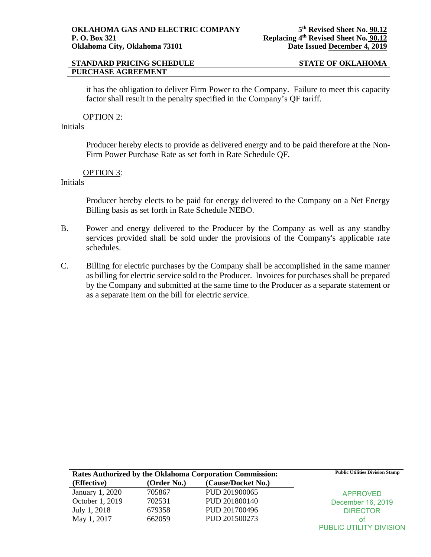# **PURCHASE AGREEMENT**

### **STANDARD PRICING SCHEDULE STATE OF OKLAHOMA**

it has the obligation to deliver Firm Power to the Company. Failure to meet this capacity factor shall result in the penalty specified in the Company's QF tariff.

### OPTION 2:

# Initials

Producer hereby elects to provide as delivered energy and to be paid therefore at the Non-Firm Power Purchase Rate as set forth in Rate Schedule QF.

### OPTION 3:

# Initials

Producer hereby elects to be paid for energy delivered to the Company on a Net Energy Billing basis as set forth in Rate Schedule NEBO.

- B. Power and energy delivered to the Producer by the Company as well as any standby services provided shall be sold under the provisions of the Company's applicable rate schedules.
- C. Billing for electric purchases by the Company shall be accomplished in the same manner as billing for electric service sold to the Producer. Invoices for purchases shall be prepared by the Company and submitted at the same time to the Producer as a separate statement or as a separate item on the bill for electric service.

| <b>Rates Authorized by the Oklahoma Corporation Commission:</b> |             | <b>Public Utilities Division Stamp</b> |                         |
|-----------------------------------------------------------------|-------------|----------------------------------------|-------------------------|
| (Effective)                                                     | (Order No.) | (Cause/Docket No.)                     |                         |
| January 1, 2020                                                 | 705867      | PUD 201900065                          | <b>APPROVED</b>         |
| October 1, 2019                                                 | 702531      | PUD 201800140                          | December 16, 2019       |
| July 1, 2018                                                    | 679358      | PUD 201700496                          | <b>DIRECTOR</b>         |
| May 1, 2017                                                     | 662059      | PUD 201500273                          | ΩŤ                      |
|                                                                 |             |                                        | PUBLIC UTILITY DIVISION |